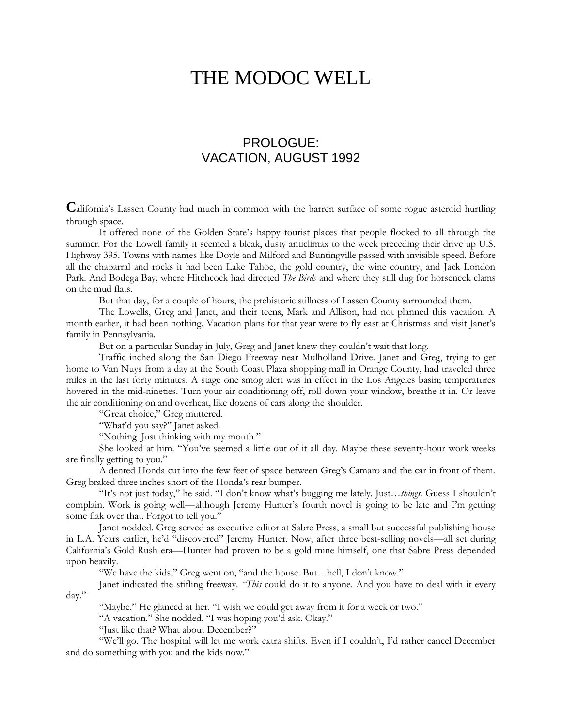### THE MODOC WELL

### PROLOGUE: VACATION, AUGUST 1992

**C**alifornia's Lassen County had much in common with the barren surface of some rogue asteroid hurtling through space.

It offered none of the Golden State's happy tourist places that people flocked to all through the summer. For the Lowell family it seemed a bleak, dusty anticlimax to the week preceding their drive up U.S. Highway 395. Towns with names like Doyle and Milford and Buntingville passed with invisible speed. Before all the chaparral and rocks it had been Lake Tahoe, the gold country, the wine country, and Jack London Park. And Bodega Bay, where Hitchcock had directed *The Birds* and where they still dug for horseneck clams on the mud flats.

But that day, for a couple of hours, the prehistoric stillness of Lassen County surrounded them.

The Lowells, Greg and Janet, and their teens, Mark and Allison, had not planned this vacation. A month earlier, it had been nothing. Vacation plans for that year were to fly east at Christmas and visit Janet's family in Pennsylvania.

But on a particular Sunday in July, Greg and Janet knew they couldn't wait that long.

Traffic inched along the San Diego Freeway near Mulholland Drive. Janet and Greg, trying to get home to Van Nuys from a day at the South Coast Plaza shopping mall in Orange County, had traveled three miles in the last forty minutes. A stage one smog alert was in effect in the Los Angeles basin; temperatures hovered in the mid-nineties. Turn your air conditioning off, roll down your window, breathe it in. Or leave the air conditioning on and overheat, like dozens of cars along the shoulder.

"Great choice," Greg muttered.

"What'd you say?" Janet asked.

"Nothing. Just thinking with my mouth."

She looked at him. "You've seemed a little out of it all day. Maybe these seventy-hour work weeks are finally getting to you."

A dented Honda cut into the few feet of space between Greg's Camaro and the car in front of them. Greg braked three inches short of the Honda's rear bumper.

"It's not just today," he said. "I don't know what's bugging me lately. Just…*things.* Guess I shouldn't complain. Work is going well—although Jeremy Hunter's fourth novel is going to be late and I'm getting some flak over that. Forgot to tell you."

Janet nodded. Greg served as executive editor at Sabre Press, a small but successful publishing house in L.A. Years earlier, he'd "discovered" Jeremy Hunter. Now, after three best-selling novels—all set during California's Gold Rush era—Hunter had proven to be a gold mine himself, one that Sabre Press depended upon heavily.

"We have the kids," Greg went on, "and the house. But…hell, I don't know."

Janet indicated the stifling freeway. *"This* could do it to anyone. And you have to deal with it every day."

"Maybe." He glanced at her. "I wish we could get away from it for a week or two."

"A vacation." She nodded. "I was hoping you'd ask. Okay."

"Just like that? What about December?"

"We'll go. The hospital will let me work extra shifts. Even if I couldn't, I'd rather cancel December and do something with you and the kids now."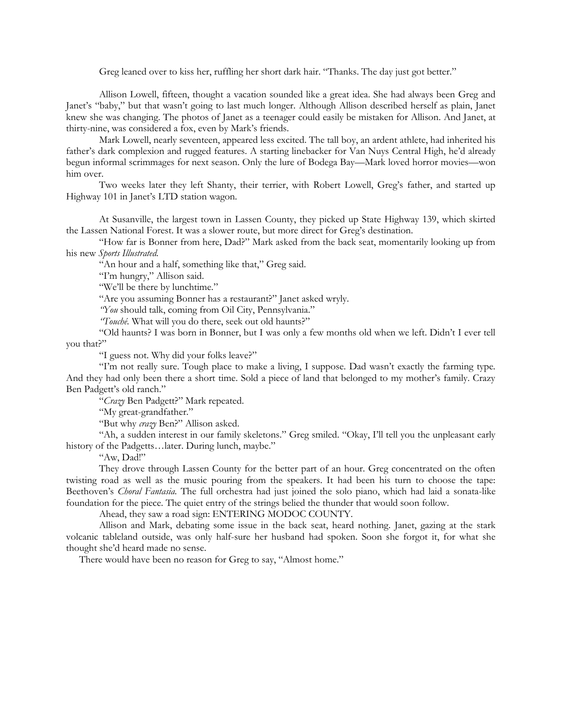Greg leaned over to kiss her, ruffling her short dark hair. "Thanks. The day just got better."

Allison Lowell, fifteen, thought a vacation sounded like a great idea. She had always been Greg and Janet's "baby," but that wasn't going to last much longer. Although Allison described herself as plain, Janet knew she was changing. The photos of Janet as a teenager could easily be mistaken for Allison. And Janet, at thirty-nine, was considered a fox, even by Mark's friends.

Mark Lowell, nearly seventeen, appeared less excited. The tall boy, an ardent athlete, had inherited his father's dark complexion and rugged features. A starting linebacker for Van Nuys Central High, he'd already begun informal scrimmages for next season. Only the lure of Bodega Bay—Mark loved horror movies—won him over.

Two weeks later they left Shanty, their terrier, with Robert Lowell, Greg's father, and started up Highway 101 in Janet's LTD station wagon.

At Susanville, the largest town in Lassen County, they picked up State Highway 139, which skirted the Lassen National Forest. It was a slower route, but more direct for Greg's destination.

"How far is Bonner from here, Dad?" Mark asked from the back seat, momentarily looking up from his new *Sports Illustrated.*

"An hour and a half, something like that," Greg said.

"I'm hungry," Allison said.

"We'll be there by lunchtime."

"Are you assuming Bonner has a restaurant?" Janet asked wryly.

*"You* should talk, coming from Oil City, Pennsylvania."

*"Touché.* What will you do there, seek out old haunts?"

"Old haunts? I was born in Bonner, but I was only a few months old when we left. Didn't I ever tell you that?"

"I guess not. Why did your folks leave?"

"I'm not really sure. Tough place to make a living, I suppose. Dad wasn't exactly the farming type. And they had only been there a short time. Sold a piece of land that belonged to my mother's family. Crazy Ben Padgett's old ranch."

"*Crazy* Ben Padgett?" Mark repeated.

"My great-grandfather."

"But why *crazy* Ben?" Allison asked.

"Ah, a sudden interest in our family skeletons." Greg smiled. "Okay, I'll tell you the unpleasant early history of the Padgetts...later. During lunch, maybe."

"Aw, Dad!"

They drove through Lassen County for the better part of an hour. Greg concentrated on the often twisting road as well as the music pouring from the speakers. It had been his turn to choose the tape: Beethoven's *Choral Fantasia.* The full orchestra had just joined the solo piano, which had laid a sonata-like foundation for the piece. The quiet entry of the strings belied the thunder that would soon follow.

Ahead, they saw a road sign: ENTERING MODOC COUNTY.

Allison and Mark, debating some issue in the back seat, heard nothing. Janet, gazing at the stark volcanic tableland outside, was only half-sure her husband had spoken. Soon she forgot it, for what she thought she'd heard made no sense.

There would have been no reason for Greg to say, "Almost home."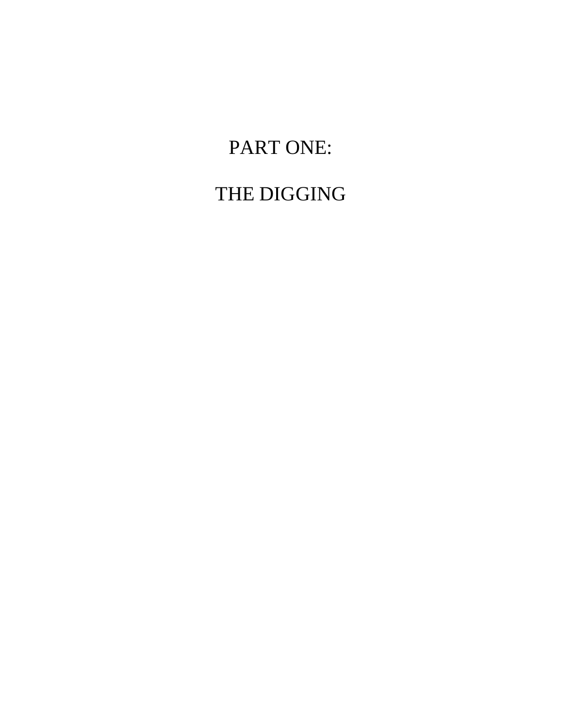# PART ONE:

## THE DIGGING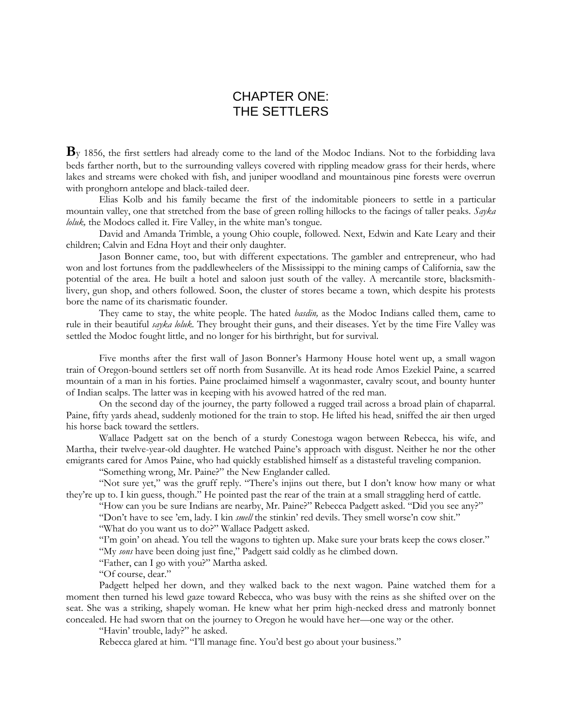#### CHAPTER ONE: THE SETTLERS

**B**y 1856, the first settlers had already come to the land of the Modoc Indians. Not to the forbidding lava beds farther north, but to the surrounding valleys covered with rippling meadow grass for their herds, where lakes and streams were choked with fish, and juniper woodland and mountainous pine forests were overrun with pronghorn antelope and black-tailed deer.

Elias Kolb and his family became the first of the indomitable pioneers to settle in a particular mountain valley, one that stretched from the base of green rolling hillocks to the facings of taller peaks. *Sayka loluk,* the Modocs called it. Fire Valley, in the white man's tongue.

David and Amanda Trimble, a young Ohio couple, followed. Next, Edwin and Kate Leary and their children; Calvin and Edna Hoyt and their only daughter.

Jason Bonner came, too, but with different expectations. The gambler and entrepreneur, who had won and lost fortunes from the paddlewheelers of the Mississippi to the mining camps of California, saw the potential of the area. He built a hotel and saloon just south of the valley. A mercantile store, blacksmithlivery, gun shop, and others followed. Soon, the cluster of stores became a town, which despite his protests bore the name of its charismatic founder.

They came to stay, the white people. The hated *basdin,* as the Modoc Indians called them, came to rule in their beautiful *sayka loluk.* They brought their guns, and their diseases. Yet by the time Fire Valley was settled the Modoc fought little, and no longer for his birthright, but for survival.

Five months after the first wall of Jason Bonner's Harmony House hotel went up, a small wagon train of Oregon-bound settlers set off north from Susanville. At its head rode Amos Ezekiel Paine, a scarred mountain of a man in his forties. Paine proclaimed himself a wagonmaster, cavalry scout, and bounty hunter of Indian scalps. The latter was in keeping with his avowed hatred of the red man.

On the second day of the journey, the party followed a rugged trail across a broad plain of chaparral. Paine, fifty yards ahead, suddenly motioned for the train to stop. He lifted his head, sniffed the air then urged his horse back toward the settlers.

Wallace Padgett sat on the bench of a sturdy Conestoga wagon between Rebecca, his wife, and Martha, their twelve-year-old daughter. He watched Paine's approach with disgust. Neither he nor the other emigrants cared for Amos Paine, who had quickly established himself as a distasteful traveling companion.

"Something wrong, Mr. Paine?" the New Englander called.

"Not sure yet," was the gruff reply. "There's injins out there, but I don't know how many or what they're up to. I kin guess, though." He pointed past the rear of the train at a small straggling herd of cattle.

"How can you be sure Indians are nearby, Mr. Paine?" Rebecca Padgett asked. "Did you see any?" "Don't have to see 'em, lady. I kin *smell* the stinkin' red devils. They smell worse'n cow shit."

"What do you want us to do?" Wallace Padgett asked.

"I'm goin' on ahead. You tell the wagons to tighten up. Make sure your brats keep the cows closer." "My *sons* have been doing just fine," Padgett said coldly as he climbed down.

"Father, can I go with you?" Martha asked.

"Of course, dear."

Padgett helped her down, and they walked back to the next wagon. Paine watched them for a moment then turned his lewd gaze toward Rebecca, who was busy with the reins as she shifted over on the seat. She was a striking, shapely woman. He knew what her prim high-necked dress and matronly bonnet concealed. He had sworn that on the journey to Oregon he would have her—one way or the other.

"Havin' trouble, lady?" he asked.

Rebecca glared at him. "I'll manage fine. You'd best go about your business."